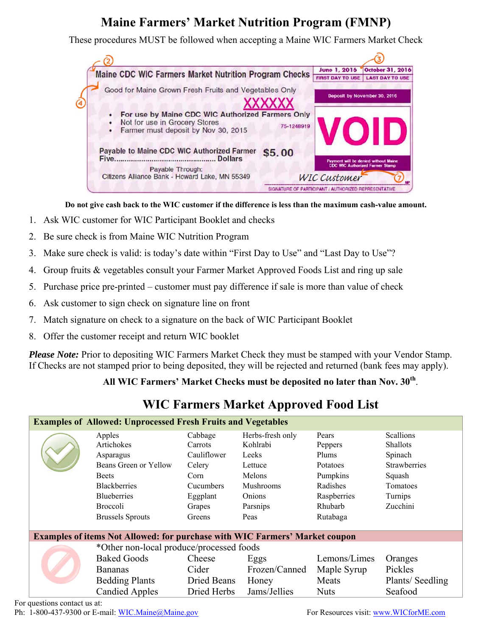# **Maine Farmers' Market Nutrition Program (FMNP)**

These procedures MUST be followed when accepting a Maine WIC Farmers Market Check



**Do not give cash back to the WIC customer if the difference is less than the maximum cash-value amount.** 

- 1. Ask WIC customer for WIC Participant Booklet and checks
- 2. Be sure check is from Maine WIC Nutrition Program
- 3. Make sure check is valid: is today's date within "First Day to Use" and "Last Day to Use"?
- 4. Group fruits & vegetables consult your Farmer Market Approved Foods List and ring up sale
- 5. Purchase price pre-printed customer must pay difference if sale is more than value of check
- 6. Ask customer to sign check on signature line on front
- 7. Match signature on check to a signature on the back of WIC Participant Booklet
- 8. Offer the customer receipt and return WIC booklet

*Please Note:* Prior to depositing WIC Farmers Market Check they must be stamped with your Vendor Stamp. If Checks are not stamped prior to being deposited, they will be rejected and returned (bank fees may apply).

#### **All WIC Farmers' Market Checks must be deposited no later than Nov. 30th**.

## **WIC Farmers Market Approved Food List**

| <b>Examples of Allowed: Unprocessed Fresh Fruits and Vegetables</b>                |                                                                |             |                  |              |                     |  |  |  |  |
|------------------------------------------------------------------------------------|----------------------------------------------------------------|-------------|------------------|--------------|---------------------|--|--|--|--|
|                                                                                    | Apples                                                         | Cabbage     | Herbs-fresh only | Pears        | <b>Scallions</b>    |  |  |  |  |
|                                                                                    | Artichokes                                                     | Carrots     | Kohlrabi         | Peppers      | Shallots            |  |  |  |  |
|                                                                                    | Asparagus                                                      | Cauliflower | Leeks            | Plums        | Spinach             |  |  |  |  |
|                                                                                    | Beans Green or Yellow                                          | Celery      | Lettuce          | Potatoes     | <b>Strawberries</b> |  |  |  |  |
|                                                                                    | <b>Beets</b>                                                   | Corn        | Melons           | Pumpkins     | Squash              |  |  |  |  |
|                                                                                    | <b>Blackberries</b>                                            | Cucumbers   | <b>Mushrooms</b> | Radishes     | Tomatoes            |  |  |  |  |
| <b>Blueberries</b>                                                                 |                                                                | Eggplant    | Onions           | Raspberries  | Turnips<br>Zucchini |  |  |  |  |
|                                                                                    | <b>Broccoli</b><br>Grapes<br><b>Brussels Sprouts</b><br>Greens |             | Parsnips         | Rhubarb      |                     |  |  |  |  |
|                                                                                    |                                                                |             | Peas             | Rutabaga     |                     |  |  |  |  |
|                                                                                    |                                                                |             |                  |              |                     |  |  |  |  |
| <b>Examples of items Not Allowed: for purchase with WIC Farmers' Market coupon</b> |                                                                |             |                  |              |                     |  |  |  |  |
|                                                                                    | *Other non-local produce/processed foods                       |             |                  |              |                     |  |  |  |  |
|                                                                                    | <b>Baked Goods</b>                                             | Cheese      | Eggs             | Lemons/Limes | Oranges             |  |  |  |  |
|                                                                                    | <b>Bananas</b>                                                 | Cider       | Frozen/Canned    | Maple Syrup  | Pickles             |  |  |  |  |
|                                                                                    | <b>Bedding Plants</b>                                          | Dried Beans | Honey            | Meats        | Plants/Seedling     |  |  |  |  |
|                                                                                    | <b>Candied Apples</b>                                          | Dried Herbs | Jams/Jellies     | <b>Nuts</b>  | Seafood             |  |  |  |  |

For questions contact us at:

Ph: 1-800-437-9300 or E-mail: WIC.Maine@Maine.gov For Resources visit: www.WICforME.com